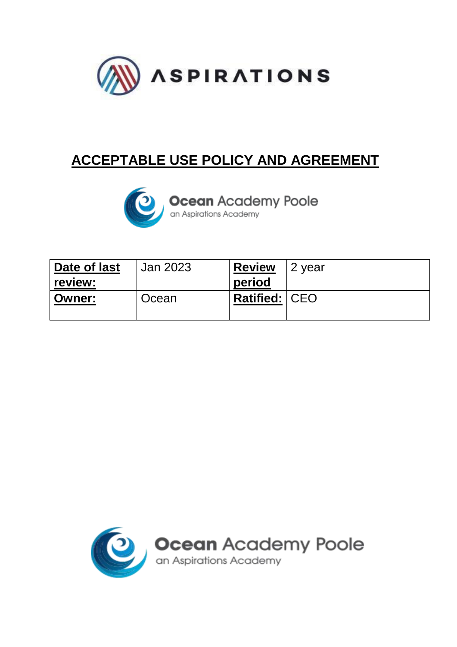

## **ACCEPTABLE USE POLICY AND AGREEMENT**



**Ocean** Academy Poole

| Date of last  | Jan 2023 | <b>Review</b>        | ⊩2 year |
|---------------|----------|----------------------|---------|
| review:       |          | period               |         |
| <b>Owner:</b> | Ocean    | <b>Ratified: CEO</b> |         |
|               |          |                      |         |

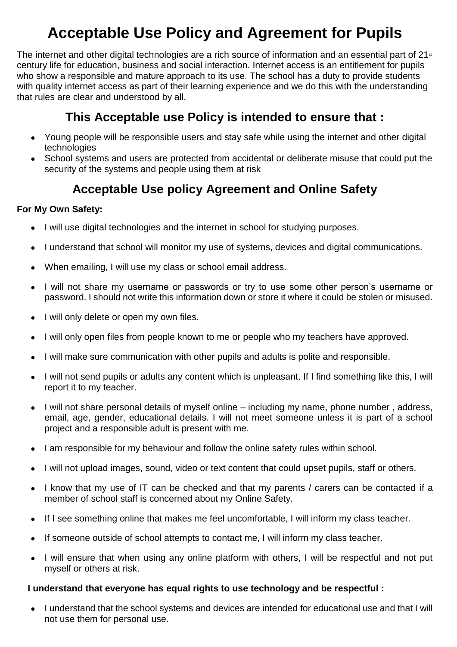# **Acceptable Use Policy and Agreement for Pupils**

The internet and other digital technologies are a rich source of information and an essential part of 21<sup>st</sup> century life for education, business and social interaction. Internet access is an entitlement for pupils who show a responsible and mature approach to its use. The school has a duty to provide students with quality internet access as part of their learning experience and we do this with the understanding that rules are clear and understood by all.

## **This Acceptable use Policy is intended to ensure that :**

- Young people will be responsible users and stay safe while using the internet and other digital technologies
- School systems and users are protected from accidental or deliberate misuse that could put the security of the systems and people using them at risk

## **Acceptable Use policy Agreement and Online Safety**

### **For My Own Safety:**

- I will use digital technologies and the internet in school for studying purposes.
- I understand that school will monitor my use of systems, devices and digital communications.
- When emailing, I will use my class or school email address.
- I will not share my username or passwords or try to use some other person's username or password. I should not write this information down or store it where it could be stolen or misused.
- I will only delete or open my own files.
- I will only open files from people known to me or people who my teachers have approved.
- I will make sure communication with other pupils and adults is polite and responsible.
- I will not send pupils or adults any content which is unpleasant. If I find something like this, I will report it to my teacher.
- I will not share personal details of myself online including my name, phone number, address, email, age, gender, educational details. I will not meet someone unless it is part of a school project and a responsible adult is present with me.
- I am responsible for my behaviour and follow the online safety rules within school.
- I will not upload images, sound, video or text content that could upset pupils, staff or others.
- I know that my use of IT can be checked and that my parents / carers can be contacted if a member of school staff is concerned about my Online Safety.
- If I see something online that makes me feel uncomfortable, I will inform my class teacher.
- If someone outside of school attempts to contact me, I will inform my class teacher.
- I will ensure that when using any online platform with others, I will be respectful and not put myself or others at risk.

### **I understand that everyone has equal rights to use technology and be respectful :**

● I understand that the school systems and devices are intended for educational use and that I will not use them for personal use.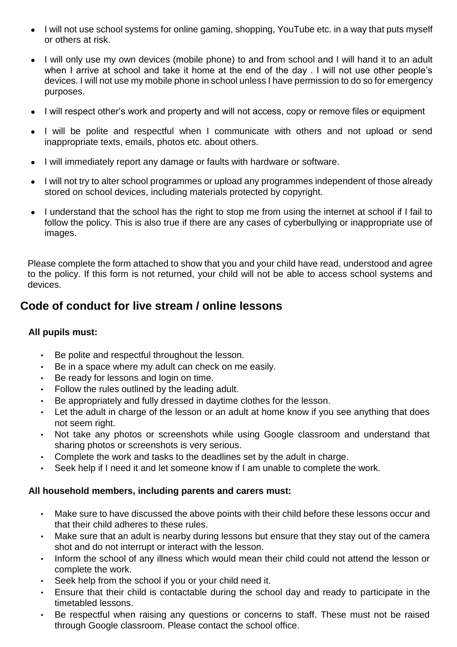- I will not use school systems for online gaming, shopping, YouTube etc. in a way that puts myself or others at risk.
- I will only use my own devices (mobile phone) to and from school and I will hand it to an adult when I arrive at school and take it home at the end of the day . I will not use other people's devices. I will not use my mobile phone in school unless I have permission to do so for emergency purposes.
- I will respect other's work and property and will not access, copy or remove files or equipment
- I will be polite and respectful when I communicate with others and not upload or send inappropriate texts, emails, photos etc. about others.
- I will immediately report any damage or faults with hardware or software.
- I will not try to alter school programmes or upload any programmes independent of those already stored on school devices, including materials protected by copyright.
- I understand that the school has the right to stop me from using the internet at school if I fail to follow the policy. This is also true if there are any cases of cyberbullying or inappropriate use of images.

Please complete the form attached to show that you and your child have read, understood and agree to the policy. If this form is not returned, your child will not be able to access school systems and devices.

## **Code of conduct for live stream / online lessons**

#### **All pupils must:**

- Be polite and respectful throughout the lesson.
- Be in a space where my adult can check on me easily.
- Be ready for lessons and login on time.
- Follow the rules outlined by the leading adult.
- Be appropriately and fully dressed in daytime clothes for the lesson.
- Let the adult in charge of the lesson or an adult at home know if you see anything that does not seem right.
- Not take any photos or screenshots while using Google classroom and understand that sharing photos or screenshots is very serious.
- Complete the work and tasks to the deadlines set by the adult in charge.
- Seek help if I need it and let someone know if I am unable to complete the work.

#### **All household members, including parents and carers must:**

- Make sure to have discussed the above points with their child before these lessons occur and that their child adheres to these rules.
- Make sure that an adult is nearby during lessons but ensure that they stay out of the camera shot and do not interrupt or interact with the lesson.
- Inform the school of any illness which would mean their child could not attend the lesson or complete the work.
- Seek help from the school if you or your child need it.
- Ensure that their child is contactable during the school day and ready to participate in the timetabled lessons.
- Be respectful when raising any questions or concerns to staff. These must not be raised through Google classroom. Please contact the school office.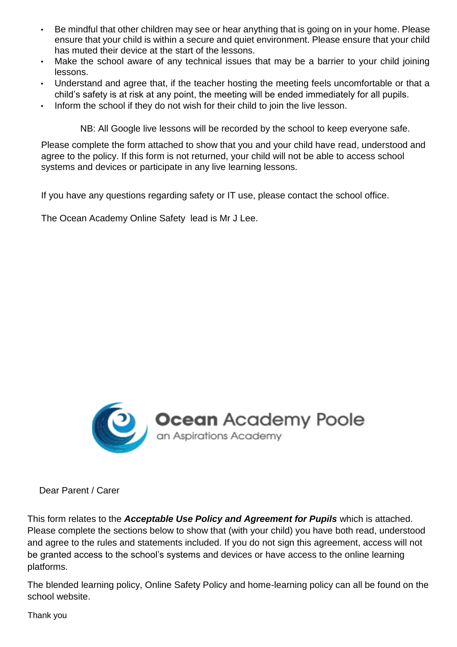- Be mindful that other children may see or hear anything that is going on in your home. Please ensure that your child is within a secure and quiet environment. Please ensure that your child has muted their device at the start of the lessons.
- Make the school aware of any technical issues that may be a barrier to your child joining lessons.
- Understand and agree that, if the teacher hosting the meeting feels uncomfortable or that a child's safety is at risk at any point, the meeting will be ended immediately for all pupils.
- Inform the school if they do not wish for their child to join the live lesson.

NB: All Google live lessons will be recorded by the school to keep everyone safe.

Please complete the form attached to show that you and your child have read, understood and agree to the policy. If this form is not returned, your child will not be able to access school systems and devices or participate in any live learning lessons.

If you have any questions regarding safety or IT use, please contact the school office.

The Ocean Academy Online Safety lead is Mr J Lee.



Dear Parent / Carer

This form relates to the *Acceptable Use Policy and Agreement for Pupils* which is attached. Please complete the sections below to show that (with your child) you have both read, understood and agree to the rules and statements included. If you do not sign this agreement, access will not be granted access to the school's systems and devices or have access to the online learning platforms.

The blended learning policy, Online Safety Policy and home-learning policy can all be found on the school website.

Thank you